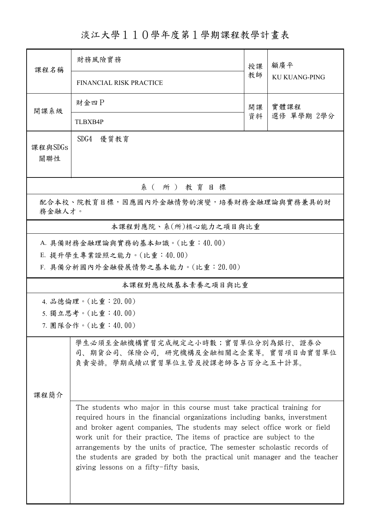淡江大學110學年度第1學期課程教學計畫表

| 課程名稱                                                                                             | 財務風險實務                                                                                                                                                                                                                                                                                                                                                                                                                                                                                                          | 授課 | 顧廣平<br><b>KU KUANG-PING</b> |  |  |  |  |
|--------------------------------------------------------------------------------------------------|-----------------------------------------------------------------------------------------------------------------------------------------------------------------------------------------------------------------------------------------------------------------------------------------------------------------------------------------------------------------------------------------------------------------------------------------------------------------------------------------------------------------|----|-----------------------------|--|--|--|--|
|                                                                                                  | FINANCIAL RISK PRACTICE                                                                                                                                                                                                                                                                                                                                                                                                                                                                                         | 教師 |                             |  |  |  |  |
| 開課系級                                                                                             | 財金四P                                                                                                                                                                                                                                                                                                                                                                                                                                                                                                            | 開課 | 實體課程<br>選修 單學期 2學分          |  |  |  |  |
|                                                                                                  | TLBXB4P                                                                                                                                                                                                                                                                                                                                                                                                                                                                                                         | 資料 |                             |  |  |  |  |
| 課程與SDGs<br>關聯性                                                                                   | SDG4<br>優質教育                                                                                                                                                                                                                                                                                                                                                                                                                                                                                                    |    |                             |  |  |  |  |
| 系(所)教育目標                                                                                         |                                                                                                                                                                                                                                                                                                                                                                                                                                                                                                                 |    |                             |  |  |  |  |
| 配合本校、院教育目標,因應國內外金融情勢的演變,培養財務金融理論與實務兼具的財<br>務金融人才。                                                |                                                                                                                                                                                                                                                                                                                                                                                                                                                                                                                 |    |                             |  |  |  |  |
|                                                                                                  | 本課程對應院、系(所)核心能力之項目與比重                                                                                                                                                                                                                                                                                                                                                                                                                                                                                           |    |                             |  |  |  |  |
| A. 具備財務金融理論與實務的基本知識。(比重:40.00)<br>E. 提升學生專業證照之能力。(比重:40.00)<br>F. 具備分析國內外金融發展情勢之基本能力。(比重: 20.00) |                                                                                                                                                                                                                                                                                                                                                                                                                                                                                                                 |    |                             |  |  |  |  |
| 本課程對應校級基本素養之項目與比重                                                                                |                                                                                                                                                                                                                                                                                                                                                                                                                                                                                                                 |    |                             |  |  |  |  |
| 4. 品德倫理。(比重: 20.00)                                                                              |                                                                                                                                                                                                                                                                                                                                                                                                                                                                                                                 |    |                             |  |  |  |  |
| 5. 獨立思考。(比重:40.00)                                                                               |                                                                                                                                                                                                                                                                                                                                                                                                                                                                                                                 |    |                             |  |  |  |  |
|                                                                                                  | 7. 團隊合作。(比重:40.00)                                                                                                                                                                                                                                                                                                                                                                                                                                                                                              |    |                             |  |  |  |  |
|                                                                                                  | 學生必須至金融機構實習完成規定之小時數;實習單位分別為銀行、證券公<br>司、期貨公司、保險公司、研究機構及金融相關之企業等。實習項目由實習單位<br>負責安排。學期成績以實習單位主管及授課老師各占百分之五十計算。                                                                                                                                                                                                                                                                                                                                                                                                     |    |                             |  |  |  |  |
| 课程简介                                                                                             |                                                                                                                                                                                                                                                                                                                                                                                                                                                                                                                 |    |                             |  |  |  |  |
|                                                                                                  | The students who major in this course must take practical training for<br>required hours in the financial organizations including banks, inverstment<br>and broker agent companies. The students may select office work or field<br>work unit for their practice. The items of practice are subject to the<br>arrangements by the units of practice. The semester scholastic records of<br>the students are graded by both the practical unit manager and the teacher<br>giving lessons on a fifty-fifty basis. |    |                             |  |  |  |  |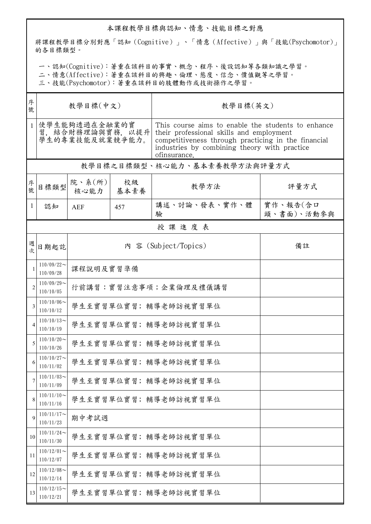## 本課程教學目標與認知、情意、技能目標之對應

將課程教學目標分別對應「認知(Cognitive)」、「情意(Affective)」與「技能(Psychomotor)」 的各目標類型。

一、認知(Cognitive):著重在該科目的事實、概念、程序、後設認知等各類知識之學習。

二、情意(Affective):著重在該科目的興趣、倫理、態度、信念、價值觀等之學習。

三、技能(Psychomotor):著重在該科目的肢體動作或技術操作之學習。

| 序<br>號         | 教學目標(中文)                                              |                            |            | 教學目標(英文)                                                                                                                                                                                                              |                        |  |  |  |
|----------------|-------------------------------------------------------|----------------------------|------------|-----------------------------------------------------------------------------------------------------------------------------------------------------------------------------------------------------------------------|------------------------|--|--|--|
| $\mathbf{1}$   | 使學生能夠透過在金融業的實<br>習, 結合財務理論與實務, 以提升<br>學生的專業技能及就業競爭能力。 |                            |            | This course aims to enable the students to enhance<br>their professional skills and employment<br>competitiveness through practicing in the financial<br>industries by combining theory with practice<br>ofinsurance. |                        |  |  |  |
|                | 教學目標之目標類型、核心能力、基本素養教學方法與評量方式                          |                            |            |                                                                                                                                                                                                                       |                        |  |  |  |
| 序號             | 目標類型                                                  | 院、系(所)<br>核心能力             | 校級<br>基本素養 | 教學方法                                                                                                                                                                                                                  | 評量方式                   |  |  |  |
| 1              | 認知                                                    | AEF                        | 457        | 講述、討論、發表、實作、體<br>驗                                                                                                                                                                                                    | 實作、報告(含口<br>頭、書面)、活動參與 |  |  |  |
|                | 授課進度表                                                 |                            |            |                                                                                                                                                                                                                       |                        |  |  |  |
| 週<br>次         | 日期起訖                                                  | 內 容 (Subject/Topics)<br>備註 |            |                                                                                                                                                                                                                       |                        |  |  |  |
|                | $110/09/22$ ~<br>110/09/28                            | 課程說明及實習準備                  |            |                                                                                                                                                                                                                       |                        |  |  |  |
|                | $110/09/29$ ~<br>110/10/05                            | 行前講習:實習注意事項;企業倫理及禮儀講習      |            |                                                                                                                                                                                                                       |                        |  |  |  |
| 3              | $110/10/06$ ~<br>110/10/12                            | 學生至實習單位實習; 輔導老師訪視實習單位      |            |                                                                                                                                                                                                                       |                        |  |  |  |
| $\overline{4}$ | $110/10/13$ ~<br>110/10/19                            | 學生至實習單位實習;輔導老師訪視實習單位       |            |                                                                                                                                                                                                                       |                        |  |  |  |
|                | $110/10/20$ ~<br>110/10/26                            | 學生至實習單位實習; 輔導老師訪視實習單位      |            |                                                                                                                                                                                                                       |                        |  |  |  |
|                | $110/10/27$ ~<br>110/11/02                            |                            |            | 學生至實習單位實習;輔導老師訪視實習單位                                                                                                                                                                                                  |                        |  |  |  |
|                | $110/11/03$ ~<br>110/11/09                            |                            |            | 學生至實習單位實習; 輔導老師訪視實習單位                                                                                                                                                                                                 |                        |  |  |  |
| 8              | $110/11/10$ ~<br>110/11/16                            |                            |            | 學生至實習單位實習; 輔導老師訪視實習單位                                                                                                                                                                                                 |                        |  |  |  |
| 9              | $110/11/17$ ~<br>110/11/23                            | 期中考試週                      |            |                                                                                                                                                                                                                       |                        |  |  |  |
| 10             | $110/11/24$ ~<br>110/11/30                            |                            |            | 學生至實習單位實習;輔導老師訪視實習單位                                                                                                                                                                                                  |                        |  |  |  |
| 11             | $110/12/01$ ~<br>110/12/07                            |                            |            | 學生至實習單位實習;輔導老師訪視實習單位                                                                                                                                                                                                  |                        |  |  |  |
| 12             | $110/12/08$ ~<br>110/12/14                            |                            |            | 學生至實習單位實習; 輔導老師訪視實習單位                                                                                                                                                                                                 |                        |  |  |  |
| 13             | $110/12/15$ ~<br>110/12/21                            |                            |            | 學生至實習單位實習;輔導老師訪視實習單位                                                                                                                                                                                                  |                        |  |  |  |